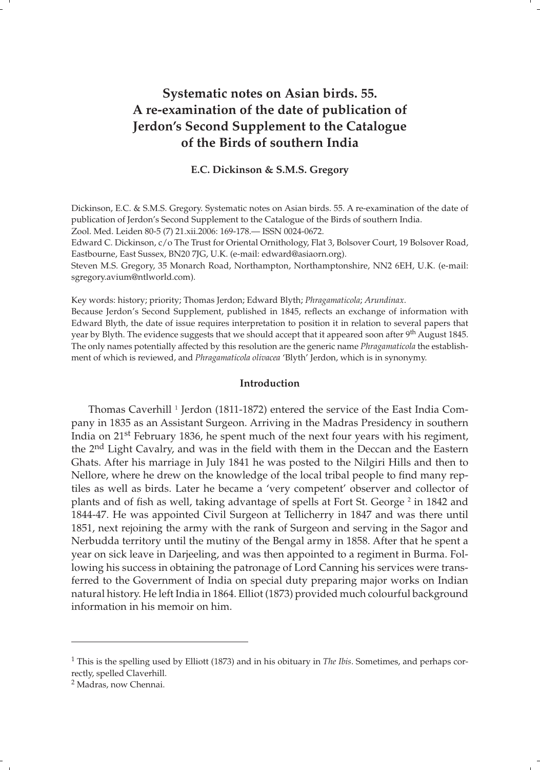# **Systematic notes on Asian birds. 55. A re-examination of the date of publication of Jerdon's Second Supplement to the Catalogue of the Birds of southern India**

## **E.C. Dickinson & S.M.S. Gregory**

Dickinson, E.C. & S.M.S. Gregory. Systematic notes on Asian birds. 55. A re-examination of the date of publication of Jerdon's Second Supplement to the Catalogue of the Birds of southern India.

Zool. Med. Leiden 80-5 (7) 21.xii.2006: 169-178.— ISSN 0024-0672.

Edward C. Dickinson, c/o The Trust for Oriental Ornithology, Flat 3, Bolsover Court, 19 Bolsover Road, Eastbourne, East Sussex, BN20 7JG, U.K. (e-mail: edward@asiaorn.org).

Steven M.S. Gregory, 35 Monarch Road, Northampton, Northamptonshire, NN2 6EH, U.K. (e-mail: sgregory.avium@ntlworld.com).

Key words: history; priority; Thomas Jerdon; Edward Blyth; *Phragamaticola*; *Arundinax*.

Because Jerdon's Second Supplement, published in 1845, reflects an exchange of information with Edward Blyth, the date of issue requires interpretation to position it in relation to several papers that year by Blyth. The evidence suggests that we should accept that it appeared soon after 9<sup>th</sup> August 1845. The only names potentially affected by this resolution are the generic name *Phragamaticola* the establishment of which is reviewed, and *Phragamaticola olivacea* 'Blyth' Jerdon, which is in synonymy.

## **Introduction**

Thomas Caverhill<sup>1</sup> Jerdon (1811-1872) entered the service of the East India Company in 1835 as an Assistant Surgeon. Arriving in the Madras Presidency in southern India on 21st February 1836, he spent much of the next four years with his regiment, the 2<sup>nd</sup> Light Cavalry, and was in the field with them in the Deccan and the Eastern Ghats. After his marriage in July 1841 he was posted to the Nilgiri Hills and then to Nellore, where he drew on the knowledge of the local tribal people to find many reptiles as well as birds. Later he became a 'very competent' observer and collector of plants and of fish as well, taking advantage of spells at Fort St. George<sup>2</sup> in 1842 and 1844-47. He was appointed Civil Surgeon at Tellicherry in 1847 and was there until 1851, next rejoining the army with the rank of Surgeon and serving in the Sagor and Nerbudda territory until the mutiny of the Bengal army in 1858. After that he spent a year on sick leave in Darjeeling, and was then appointed to a regiment in Burma. Following his success in obtaining the patronage of Lord Canning his services were transferred to the Government of India on special duty preparing major works on Indian natural history. He left India in 1864. Elliot (1873) provided much colourful background information in his memoir on him.

<sup>1</sup> This is the spelling used by Elliott (1873) and in his obituary in *The Ibis*. Sometimes, and perhaps correctly, spelled Claverhill.

<sup>2</sup> Madras, now Chennai.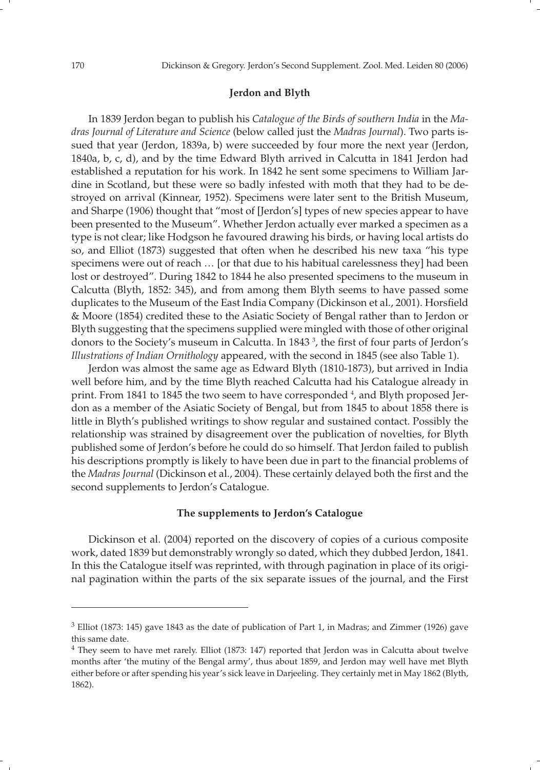## **Jerdon and Blyth**

 In 1839 Jerdon began to publish his *Catalogue of the Birds of southern India* in the *Madras Journal of Literature and Science* (below called just the *Madras Journal*). Two parts issued that year (Jerdon, 1839a, b) were succeeded by four more the next year (Jerdon, 1840a, b, c, d), and by the time Edward Blyth arrived in Calcutta in 1841 Jerdon had established a reputation for his work. In 1842 he sent some specimens to William Jardine in Scotland, but these were so badly infested with moth that they had to be destroyed on arrival (Kinnear, 1952). Specimens were later sent to the British Museum, and Sharpe (1906) thought that "most of [Jerdon's] types of new species appear to have been presented to the Museum". Whether Jerdon actually ever marked a specimen as a type is not clear; like Hodgson he favoured drawing his birds, or having local artists do so, and Elliot (1873) suggested that often when he described his new taxa "his type specimens were out of reach … [or that due to his habitual carelessness they] had been lost or destroyed". During 1842 to 1844 he also presented specimens to the museum in Calcutta (Blyth, 1852: 345), and from among them Blyth seems to have passed some duplicates to the Museum of the East India Company (Dickinson et al., 2001). Horsfield & Moore (1854) credited these to the Asiatic Society of Bengal rather than to Jerdon or Blyth suggesting that the specimens supplied were mingled with those of other original donors to the Society's museum in Calcutta. In 1843<sup>3</sup>, the first of four parts of Jerdon's *Illustrations of Indian Ornithology* appeared, with the second in 1845 (see also Table 1).

 Jerdon was almost the same age as Edward Blyth (1810-1873), but arrived in India well before him, and by the time Blyth reached Calcutta had his Catalogue already in print. From 1841 to 1845 the two seem to have corresponded <sup>4</sup>, and Blyth proposed Jerdon as a member of the Asiatic Society of Bengal, but from 1845 to about 1858 there is little in Blyth's published writings to show regular and sustained contact. Possibly the relationship was strained by disagreement over the publication of novelties, for Blyth published some of Jerdon's before he could do so himself. That Jerdon failed to publish his descriptions promptly is likely to have been due in part to the financial problems of the *Madras Journal* (Dickinson et al., 2004). These certainly delayed both the first and the second supplements to Jerdon's Catalogue.

## **The supplements to Jerdon's Catalogue**

 Dickinson et al. (2004) reported on the discovery of copies of a curious composite work, dated 1839 but demonstrably wrongly so dated, which they dubbed Jerdon, 1841. In this the Catalogue itself was reprinted, with through pagination in place of its original pagination within the parts of the six separate issues of the journal, and the First

<sup>3</sup> Elliot (1873: 145) gave 1843 as the date of publication of Part 1, in Madras; and Zimmer (1926) gave this same date.

<sup>4</sup> They seem to have met rarely. Elliot (1873: 147) reported that Jerdon was in Calcutta about twelve months after 'the mutiny of the Bengal army', thus about 1859, and Jerdon may well have met Blyth either before or after spending his year's sick leave in Darjeeling. They certainly met in May 1862 (Blyth, 1862).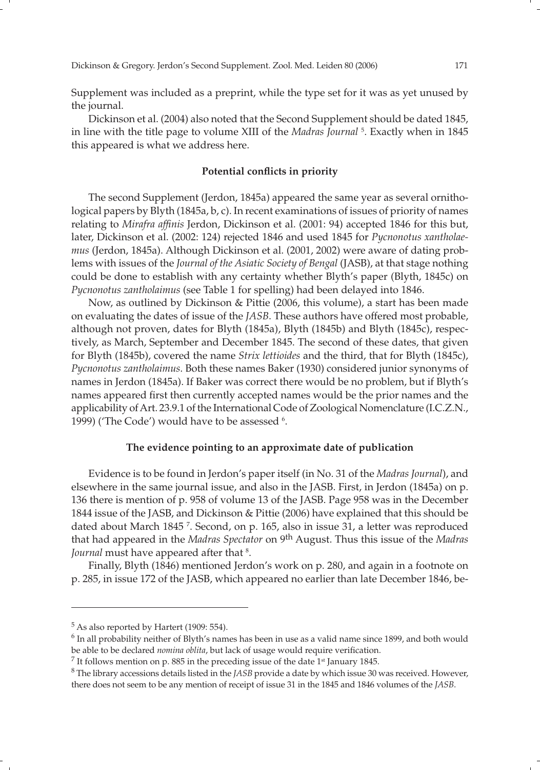Supplement was included as a preprint, while the type set for it was as yet unused by the journal.

 Dickinson et al. (2004) also noted that the Second Supplement should be dated 1845, in line with the title page to volume XIII of the *Madras Journal* <sup>5</sup> . Exactly when in 1845 this appeared is what we address here.

## Potential conflicts in priority

 The second Supplement (Jerdon, 1845a) appeared the same year as several ornithological papers by Blyth (1845a, b, c). In recent examinations of issues of priority of names relating to *Mirafra affinis* Jerdon, Dickinson et al. (2001: 94) accepted 1846 for this but, later, Dickinson et al. (2002: 124) rejected 1846 and used 1845 for *Pycnonotus xantholaemus* (Jerdon, 1845a). Although Dickinson et al. (2001, 2002) were aware of dating problems with issues of the *Journal of the Asiatic Society of Bengal* (JASB), at that stage nothing could be done to establish with any certainty whether Blyth's paper (Blyth, 1845c) on *Pycnonotus zantholaimus* (see Table 1 for spelling) had been delayed into 1846.

 Now, as outlined by Dickinson & Pittie (2006, this volume), a start has been made on evaluating the dates of issue of the *JASB*. These authors have offered most probable, although not proven, dates for Blyth (1845a), Blyth (1845b) and Blyth (1845c), respectively, as March, September and December 1845. The second of these dates, that given for Blyth (1845b), covered the name *Strix lettioides* and the third, that for Blyth (1845c), *Pycnonotus zantholaimus*. Both these names Baker (1930) considered junior synonyms of names in Jerdon (1845a). If Baker was correct there would be no problem, but if Blyth's names appeared first then currently accepted names would be the prior names and the applicability of Art. 23.9.1 of the International Code of Zoological Nomenclature (I.C.Z.N., 1999) ('The Code') would have to be assessed <sup>6</sup>.

### **The evidence pointing to an approximate date of publication**

 Evidence is to be found in Jerdon's paper itself (in No. 31 of the *Madras Journal*), and elsewhere in the same journal issue, and also in the JASB. First, in Jerdon (1845a) on p. 136 there is mention of p. 958 of volume 13 of the JASB. Page 958 was in the December 1844 issue of the JASB, and Dickinson & Pittie (2006) have explained that this should be dated about March 1845 7 . Second, on p. 165, also in issue 31, a letter was reproduced that had appeared in the *Madras Spectator* on 9th August. Thus this issue of the *Madras*  Journal must have appeared after that <sup>8</sup>.

 Finally, Blyth (1846) mentioned Jerdon's work on p. 280, and again in a footnote on p. 285, in issue 172 of the JASB, which appeared no earlier than late December 1846, be-

<sup>5</sup> As also reported by Hartert (1909: 554).

<sup>6</sup> In all probability neither of Blyth's names has been in use as a valid name since 1899, and both would be able to be declared *nomina oblita*, but lack of usage would require verification.<br><sup>7</sup> It follows mention on p. 885 in the preceding issue of the date 1<sup>st</sup> January 1845.<br><sup>8</sup> The library accessions details listed in the

there does not seem to be any mention of receipt of issue 31 in the 1845 and 1846 volumes of the *JASB*.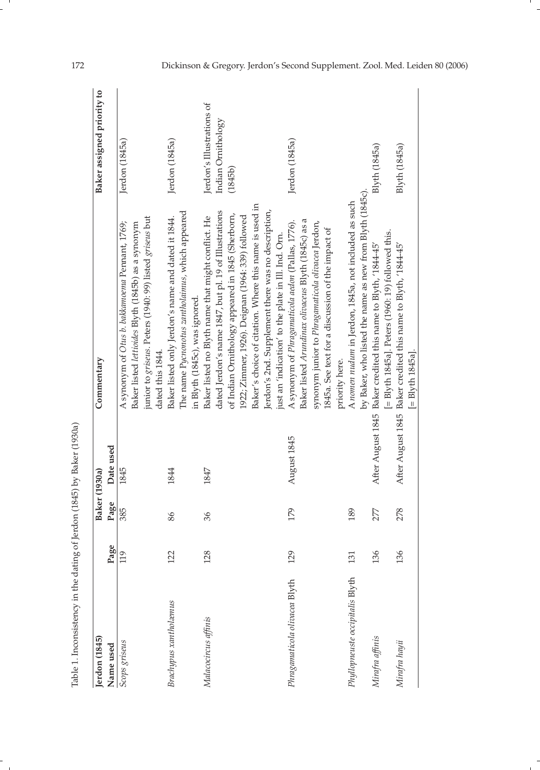| Jerdon (1845)                   |      | Baker (1930a) |             | Commentary                                                                                               | Baker assigned priority to |
|---------------------------------|------|---------------|-------------|----------------------------------------------------------------------------------------------------------|----------------------------|
| Name used                       | Page | Page          | Date used   |                                                                                                          |                            |
| Scops griseus                   | 119  | 385           | 1845        | A synonym of Otus b. bakkamoema Pennant, 1769;<br>Baker listed lettioides Blyth (1845b) as a synonym     | Jerdon (1845a)             |
|                                 |      |               |             | junior to griseus. Peters (1940: 99) listed griseus but<br>dated this 1844.                              |                            |
| <b>Brachypus</b> xantholæmus    | 122  | 86            | 1844        | Baker listed only Jerdon's name and dated it 1844.                                                       | Jerdon (1845a)             |
|                                 |      |               |             | The name Pycnonotus zantholaimus, which appeared<br>in Blyth (1845c), was ignored.                       |                            |
| Malacocircus affinis            | 128  | 36            | 1847        | Baker listed no Blyth name that might conflict. He                                                       | Jerdon's Illustrations of  |
|                                 |      |               |             | dated Jerdon's name 1847, but pl. 19 of Illustrations                                                    | Indian Omithology          |
|                                 |      |               |             | of Indian Ornithology appeared in 1845 (Sherborn,                                                        | (1845b)                    |
|                                 |      |               |             | 1922; Zimmer, 1926). Deignan (1964: 339) followed                                                        |                            |
|                                 |      |               |             | Baker's choice of citation. Where this name is used in                                                   |                            |
|                                 |      |               |             | Jerdon's 2nd. Supplement there was no description,                                                       |                            |
|                                 |      |               |             | just an 'indication' to the plate in Ill. Ind. Om.                                                       |                            |
| Phragamaticola olivacea Blyth   | 129  | 179           | August 1845 | Baker listed Arundinax olivaceus Blyth (1845c) as a<br>A synonym of Phragamaticola aedon (Pallas, 1776). | Jerdon (1845a)             |
|                                 |      |               |             | synonym junior to Phragamaticola olivacea Jerdon,                                                        |                            |
|                                 |      |               |             | 1845a. See text for a discussion of the impact of                                                        |                            |
|                                 |      |               |             | priority here.                                                                                           |                            |
| Phyllopneuste occipitalis Blyth | 131  | 189           |             | A nomen nudum in Jerdon, 1845a, not included as such                                                     |                            |
|                                 |      |               |             | by Baker, who listed the name as new from Blyth (1845c).                                                 |                            |
| Mirafra affinis                 | 136  | 277           |             | After August 1845 Baker credited this name to Blyth, '1844-45'                                           | Blyth (1845a)              |
|                                 |      |               |             | [= Blyth 1845a]. Peters (1960: 19) followed this.                                                        |                            |
| Mirafra hayii                   | 136  | 278           |             | After August 1845 Baker credited this name to Blyth, '1844-45'                                           | Blyth (1845a)              |
|                                 |      |               |             | $[=$ Blyth $1845a]$ .                                                                                    |                            |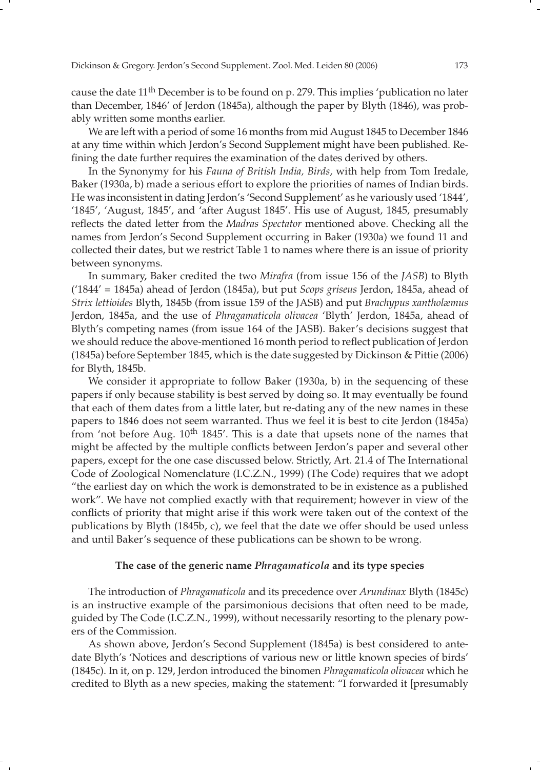cause the date  $11<sup>th</sup>$  December is to be found on p. 279. This implies 'publication no later than December, 1846' of Jerdon (1845a), although the paper by Blyth (1846), was probably written some months earlier.

 We are left with a period of some 16 months from mid August 1845 to December 1846 at any time within which Jerdon's Second Supplement might have been published. Refining the date further requires the examination of the dates derived by others.

 In the Synonymy for his *Fauna of British India, Birds*, with help from Tom Iredale, Baker (1930a, b) made a serious effort to explore the priorities of names of Indian birds. He was inconsistent in dating Jerdon's 'Second Supplement' as he variously used '1844', '1845', 'August, 1845', and 'after August 1845'. His use of August, 1845, presumably reflects the dated letter from the *Madras Spectator* mentioned above. Checking all the names from Jerdon's Second Supplement occurring in Baker (1930a) we found 11 and collected their dates, but we restrict Table 1 to names where there is an issue of priority between synonyms.

 In summary, Baker credited the two *Mirafra* (from issue 156 of the *JASB*) to Blyth ('1844' = 1845a) ahead of Jerdon (1845a), but put *Scops griseus* Jerdon, 1845a, ahead of *Strix lettioides* Blyth, 1845b (from issue 159 of the JASB) and put *Brachypus xantholæmus* Jerdon, 1845a, and the use of *Phragamaticola olivacea* 'Blyth' Jerdon, 1845a, ahead of Blyth's competing names (from issue 164 of the JASB). Baker's decisions suggest that we should reduce the above-mentioned 16 month period to reflect publication of Jerdon (1845a) before September 1845, which is the date suggested by Dickinson & Pittie (2006) for Blyth, 1845b.

We consider it appropriate to follow Baker (1930a, b) in the sequencing of these papers if only because stability is best served by doing so. It may eventually be found that each of them dates from a little later, but re-dating any of the new names in these papers to 1846 does not seem warranted. Thus we feel it is best to cite Jerdon (1845a) from 'not before Aug. 10<sup>th</sup> 1845'. This is a date that upsets none of the names that might be affected by the multiple conflicts between Jerdon's paper and several other papers, except for the one case discussed below. Strictly, Art. 21.4 of The International Code of Zoological Nomenclature (I.C.Z.N., 1999) (The Code) requires that we adopt "the earliest day on which the work is demonstrated to be in existence as a published work". We have not complied exactly with that requirement; however in view of the conflicts of priority that might arise if this work were taken out of the context of the publications by Blyth (1845b, c), we feel that the date we offer should be used unless and until Baker's sequence of these publications can be shown to be wrong.

## **The case of the generic name** *Phragamaticola* **and its type species**

 The introduction of *Phragamaticola* and its precedence over *Arundinax* Blyth (1845c) is an instructive example of the parsimonious decisions that often need to be made, guided by The Code (I.C.Z.N., 1999), without necessarily resorting to the plenary powers of the Commission.

 As shown above, Jerdon's Second Supplement (1845a) is best considered to antedate Blyth's 'Notices and descriptions of various new or little known species of birds' (1845c). In it, on p. 129, Jerdon introduced the binomen *Phragamaticola olivacea* which he credited to Blyth as a new species, making the statement: "I forwarded it [presumably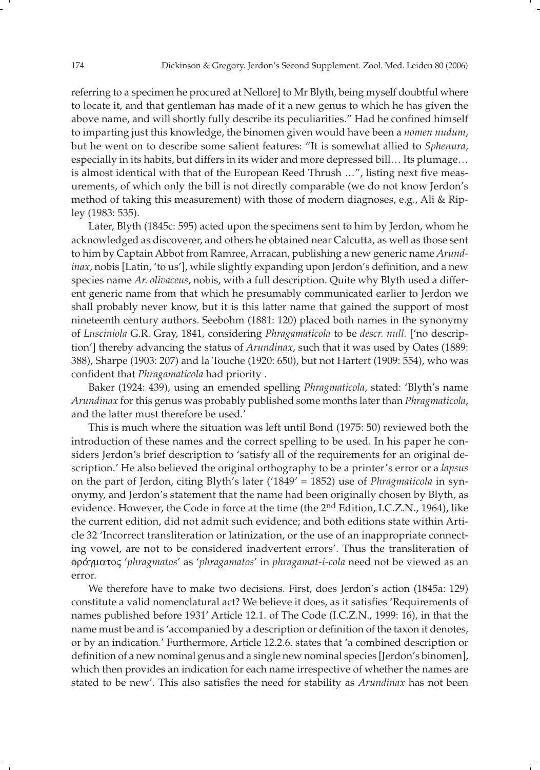referring to a specimen he procured at Nellore] to Mr Blyth, being myself doubtful where to locate it, and that gentleman has made of it a new genus to which he has given the above name, and will shortly fully describe its peculiarities." Had he confined himself to imparting just this knowledge, the binomen given would have been a *nomen nudum*, but he went on to describe some salient features: "It is somewhat allied to *Sphenura*, especially in its habits, but differs in its wider and more depressed bill… Its plumage… is almost identical with that of the European Reed Thrush ...", listing next five measurements, of which only the bill is not directly comparable (we do not know Jerdon's method of taking this measurement) with those of modern diagnoses, e.g., Ali & Ripley (1983: 535).

 Later, Blyth (1845c: 595) acted upon the specimens sent to him by Jerdon, whom he acknowledged as discoverer, and others he obtained near Calcutta, as well as those sent to him by Captain Abbot from Ramree, Arracan, publishing a new generic name *Arundinax*, nobis [Latin, 'to us'], while slightly expanding upon Jerdon's definition, and a new species name *Ar. olivaceus*, nobis, with a full description. Quite why Blyth used a different generic name from that which he presumably communicated earlier to Jerdon we shall probably never know, but it is this latter name that gained the support of most nineteenth century authors. Seebohm (1881: 120) placed both names in the synonymy of *Lusciniola* G.R. Gray, 1841, considering *Phragamaticola* to be *descr. null.* ['no description'] thereby advancing the status of *Arundinax*, such that it was used by Oates (1889: 388), Sharpe (1903: 207) and la Touche (1920: 650), but not Hartert (1909: 554), who was confident that *Phragamaticola* had priority.

 Baker (1924: 439), using an emended spelling *Phragmaticola*, stated: 'Blyth's name *Arundinax* for this genus was probably published some months later than *Phragmaticola*, and the latter must therefore be used.'

 This is much where the situation was left until Bond (1975: 50) reviewed both the introduction of these names and the correct spelling to be used. In his paper he considers Jerdon's brief description to 'satisfy all of the requirements for an original description.' He also believed the original orthography to be a printer's error or a *lapsus* on the part of Jerdon, citing Blyth's later ('1849' = 1852) use of *Phragmaticola* in synonymy, and Jerdon's statement that the name had been originally chosen by Blyth, as evidence. However, the Code in force at the time (the 2<sup>nd</sup> Edition, I.C.Z.N., 1964), like the current edition, did not admit such evidence; and both editions state within Article 32 'Incorrect transliteration or latinization, or the use of an inappropriate connecting vowel, are not to be considered inadvertent errors'. Thus the transliteration of φρα′ γματος '*phragmatos*' as '*phragamatos*' in *phragamat-i-cola* need not be viewed as an error.

 We therefore have to make two decisions. First, does Jerdon's action (1845a: 129) constitute a valid nomenclatural act? We believe it does, as it satisfies 'Requirements of names published before 1931' Article 12.1. of The Code (I.C.Z.N., 1999: 16), in that the name must be and is 'accompanied by a description or definition of the taxon it denotes, or by an indication.' Furthermore, Article 12.2.6. states that 'a combined description or definition of a new nominal genus and a single new nominal species [Jerdon's binomen], which then provides an indication for each name irrespective of whether the names are stated to be new'. This also satisfies the need for stability as *Arundinax* has not been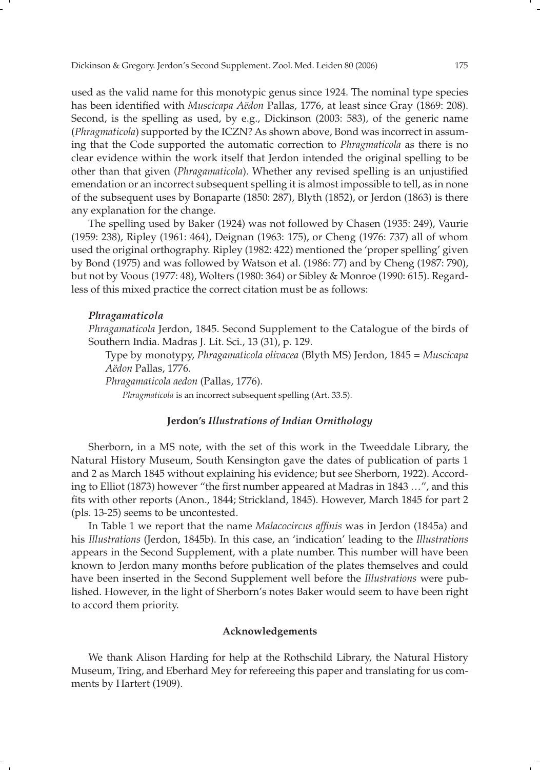used as the valid name for this monotypic genus since 1924. The nominal type species has been identified with *Muscicapa Aëdon Pallas*, 1776, at least since Gray (1869: 208). Second, is the spelling as used, by e.g., Dickinson (2003: 583), of the generic name (*Phragmaticola*) supported by the ICZN? As shown above, Bond was incorrect in assuming that the Code supported the automatic correction to *Phragmaticola* as there is no clear evidence within the work itself that Jerdon intended the original spelling to be other than that given (*Phragamaticola*). Whether any revised spelling is an unjustified emendation or an incorrect subsequent spelling it is almost impossible to tell, as in none of the subsequent uses by Bonaparte (1850: 287), Blyth (1852), or Jerdon (1863) is there any explanation for the change.

 The spelling used by Baker (1924) was not followed by Chasen (1935: 249), Vaurie (1959: 238), Ripley (1961: 464), Deignan (1963: 175), or Cheng (1976: 737) all of whom used the original orthography. Ripley (1982: 422) mentioned the 'proper spelling' given by Bond (1975) and was followed by Watson et al. (1986: 77) and by Cheng (1987: 790), but not by Voous (1977: 48), Wolters (1980: 364) or Sibley & Monroe (1990: 615). Regardless of this mixed practice the correct citation must be as follows:

#### *Phragamaticola*

 *Phragamaticola* Jerdon, 1845. Second Supplement to the Catalogue of the birds of Southern India. Madras J. Lit. Sci., 13 (31), p. 129.

 Type by monotypy, *Phragamaticola olivacea* (Blyth MS) Jerdon, 1845 = *Muscicapa Aëdon* Pallas, 1776.

 *Phragamaticola aedon* (Pallas, 1776).

*Phragmaticola* is an incorrect subsequent spelling (Art. 33.5).

### **Jerdon's** *Illustrations of Indian Ornithology*

 Sherborn, in a MS note, with the set of this work in the Tweeddale Library, the Natural History Museum, South Kensington gave the dates of publication of parts 1 and 2 as March 1845 without explaining his evidence; but see Sherborn, 1922). According to Elliot (1873) however "the first number appeared at Madras in 1843 ...", and this fits with other reports (Anon., 1844; Strickland, 1845). However, March 1845 for part 2 (pls. 13-25) seems to be uncontested.

In Table 1 we report that the name *Malacocircus affinis* was in Jerdon (1845a) and his *Illustrations* (Jerdon, 1845b). In this case, an 'indication' leading to the *Illustrations* appears in the Second Supplement, with a plate number. This number will have been known to Jerdon many months before publication of the plates themselves and could have been inserted in the Second Supplement well before the *Illustrations* were published. However, in the light of Sherborn's notes Baker would seem to have been right to accord them priority.

## **Acknowledgements**

We thank Alison Harding for help at the Rothschild Library, the Natural History Museum, Tring, and Eberhard Mey for refereeing this paper and translating for us comments by Hartert (1909).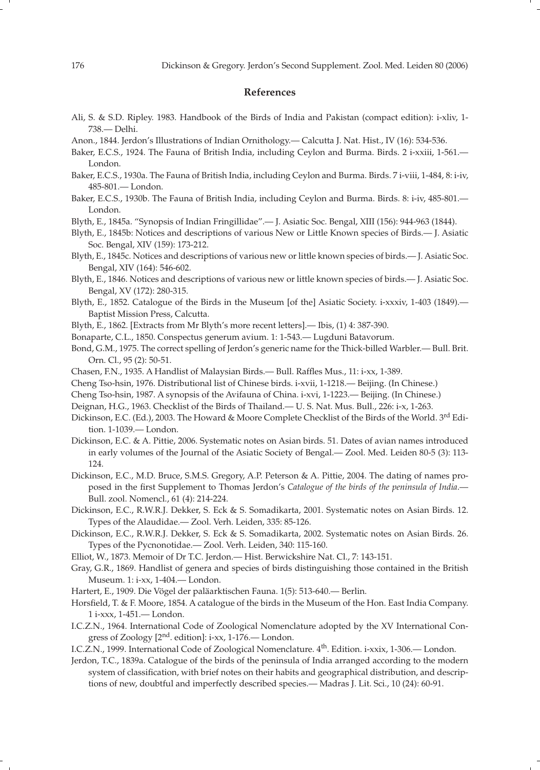#### **References**

- Ali, S. & S.D. Ripley. 1983. Handbook of the Birds of India and Pakistan (compact edition): i-xliv, 1- 738.— Delhi.
- Anon., 1844. Jerdon's Illustrations of Indian Ornithology.— Calcutta J. Nat. Hist., IV (16): 534-536.
- Baker, E.C.S., 1924. The Fauna of British India, including Ceylon and Burma. Birds. 2 i-xxiii, 1-561.— London.
- Baker, E.C.S., 1930a. The Fauna of British India, including Ceylon and Burma. Birds. 7 i-viii, 1-484, 8: i-iv, 485-801.— London.
- Baker, E.C.S., 1930b. The Fauna of British India, including Ceylon and Burma. Birds. 8: i-iv, 485-801.— London.
- Blyth, E., 1845a. "Synopsis of Indian Fringillidae".— J. Asiatic Soc. Bengal, XIII (156): 944-963 (1844).
- Blyth, E., 1845b: Notices and descriptions of various New or Little Known species of Birds.— J. Asiatic Soc. Bengal, XIV (159): 173-212.
- Blyth, E., 1845c. Notices and descriptions of various new or little known species of birds.— J. Asiatic Soc. Bengal, XIV (164): 546-602.
- Blyth, E., 1846. Notices and descriptions of various new or little known species of birds.— J. Asiatic Soc. Bengal, XV (172): 280-315.
- Blyth, E., 1852. Catalogue of the Birds in the Museum [of the] Asiatic Society. i-xxxiv, 1-403 (1849).— Baptist Mission Press, Calcutta.
- Blyth, E., 1862. [Extracts from Mr Blyth's more recent letters].— Ibis, (1) 4: 387-390.
- Bonaparte, C.L., 1850. Conspectus generum avium. 1: 1-543.— Lugduni Batavorum.
- Bond, G.M., 1975. The correct spelling of Jerdon's generic name for the Thick-billed Warbler.— Bull. Brit. Orn. Cl., 95 (2): 50-51.
- Chasen, F.N., 1935. A Handlist of Malaysian Birds.— Bull. Raffles Mus., 11: i-xx, 1-389.
- Cheng Tso-hsin, 1976. Distributional list of Chinese birds. i-xvii, 1-1218.— Beijing. (In Chinese.)
- Cheng Tso-hsin, 1987. A synopsis of the Avifauna of China. i-xvi, 1-1223.— Beijing. (In Chinese.)
- Deignan, H.G., 1963. Checklist of the Birds of Thailand.— U. S. Nat. Mus. Bull., 226: i-x, 1-263.
- Dickinson, E.C. (Ed.), 2003. The Howard & Moore Complete Checklist of the Birds of the World. 3rd Edition. 1-1039.— London.
- Dickinson, E.C. & A. Pittie, 2006. Systematic notes on Asian birds. 51. Dates of avian names introduced in early volumes of the Journal of the Asiatic Society of Bengal.— Zool. Med. Leiden 80-5 (3): 113- 124.
- Dickinson, E.C., M.D. Bruce, S.M.S. Gregory, A.P. Peterson & A. Pittie, 2004. The dating of names proposed in the first Supplement to Thomas Jerdon's *Catalogue of the birds of the peninsula of India*.-Bull. zool. Nomencl., 61 (4): 214-224.
- Dickinson, E.C., R.W.R.J. Dekker, S. Eck & S. Somadikarta, 2001. Systematic notes on Asian Birds. 12. Types of the Alaudidae.— Zool. Verh. Leiden, 335: 85-126.
- Dickinson, E.C., R.W.R.J. Dekker, S. Eck & S. Somadikarta, 2002. Systematic notes on Asian Birds. 26. Types of the Pycnonotidae.— Zool. Verh. Leiden, 340: 115-160.
- Elliot, W., 1873. Memoir of Dr T.C. Jerdon.— Hist. Berwickshire Nat. Cl., 7: 143-151.
- Gray, G.R., 1869. Handlist of genera and species of birds distinguishing those contained in the British Museum. 1: i-xx, 1-404.— London.
- Hartert, E., 1909. Die Vögel der paläarktischen Fauna. 1(5): 513-640.— Berlin.
- Horsfield, T. & F. Moore, 1854. A catalogue of the birds in the Museum of the Hon. East India Company. 1 i-xxx, 1-451.— London.
- I.C.Z.N., 1964. International Code of Zoological Nomenclature adopted by the XV International Congress of Zoology [2nd. edition]: i-xx, 1-176.— London.
- I.C.Z.N., 1999. International Code of Zoological Nomenclature. 4<sup>th</sup>. Edition. i-xxix, 1-306.— London.
- Jerdon, T.C., 1839a. Catalogue of the birds of the peninsula of India arranged according to the modern system of classification, with brief notes on their habits and geographical distribution, and descriptions of new, doubtful and imperfectly described species.— Madras J. Lit. Sci., 10 (24): 60-91.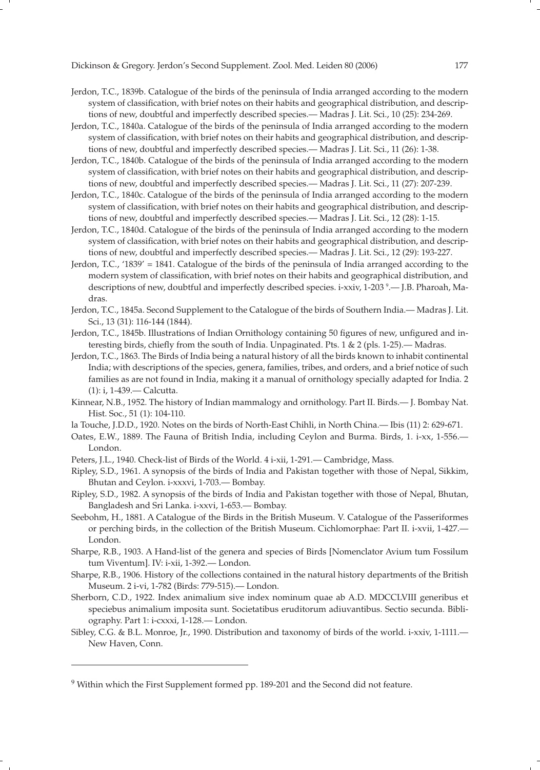- Jerdon, T.C., 1839b. Catalogue of the birds of the peninsula of India arranged according to the modern system of classification, with brief notes on their habits and geographical distribution, and descriptions of new, doubtful and imperfectly described species.— Madras J. Lit. Sci., 10 (25): 234-269.
- Jerdon, T.C., 1840a. Catalogue of the birds of the peninsula of India arranged according to the modern system of classification, with brief notes on their habits and geographical distribution, and descriptions of new, doubtful and imperfectly described species.— Madras J. Lit. Sci., 11 (26): 1-38.
- Jerdon, T.C., 1840b. Catalogue of the birds of the peninsula of India arranged according to the modern system of classification, with brief notes on their habits and geographical distribution, and descriptions of new, doubtful and imperfectly described species.— Madras J. Lit. Sci., 11 (27): 207-239.
- Jerdon, T.C., 1840c. Catalogue of the birds of the peninsula of India arranged according to the modern system of classification, with brief notes on their habits and geographical distribution, and descriptions of new, doubtful and imperfectly described species.— Madras J. Lit. Sci., 12 (28): 1-15.
- Jerdon, T.C., 1840d. Catalogue of the birds of the peninsula of India arranged according to the modern system of classification, with brief notes on their habits and geographical distribution, and descriptions of new, doubtful and imperfectly described species.— Madras J. Lit. Sci., 12 (29): 193-227.
- Jerdon, T.C., '1839' = 1841. Catalogue of the birds of the peninsula of India arranged according to the modern system of classification, with brief notes on their habits and geographical distribution, and descriptions of new, doubtful and imperfectly described species. i-xxiv, 1-203 9 .— J.B. Pharoah, Madras.
- Jerdon, T.C., 1845a. Second Supplement to the Catalogue of the birds of Southern India.— Madras J. Lit. Sci., 13 (31): 116-144 (1844).
- Jerdon, T.C., 1845b. Illustrations of Indian Ornithology containing 50 figures of new, unfigured and interesting birds, chiefly from the south of India. Unpaginated. Pts. 1 & 2 (pls. 1-25).— Madras.
- Jerdon, T.C., 1863. The Birds of India being a natural history of all the birds known to inhabit continental India; with descriptions of the species, genera, families, tribes, and orders, and a brief notice of such families as are not found in India, making it a manual of ornithology specially adapted for India. 2 (1): i, 1-439.— Calcutta.
- Kinnear, N.B., 1952. The history of Indian mammalogy and ornithology. Part II. Birds.— J. Bombay Nat. Hist. Soc., 51 (1): 104-110.
- la Touche, J.D.D., 1920. Notes on the birds of North-East Chihli, in North China.— Ibis (11) 2: 629-671.
- Oates, E.W., 1889. The Fauna of British India, including Ceylon and Burma. Birds, 1. i-xx, 1-556.— London.
- Peters, J.L., 1940. Check-list of Birds of the World. 4 i-xii, 1-291.— Cambridge, Mass.
- Ripley, S.D., 1961. A synopsis of the birds of India and Pakistan together with those of Nepal, Sikkim, Bhutan and Ceylon. i-xxxvi, 1-703.— Bombay.
- Ripley, S.D., 1982. A synopsis of the birds of India and Pakistan together with those of Nepal, Bhutan, Bangladesh and Sri Lanka. i-xxvi, 1-653.— Bombay.
- Seebohm, H., 1881. A Catalogue of the Birds in the British Museum. V. Catalogue of the Passeriformes or perching birds, in the collection of the British Museum. Cichlomorphae: Part II. i-xvii, 1-427.— London.
- Sharpe, R.B., 1903. A Hand-list of the genera and species of Birds [Nomenclator Avium tum Fossilum tum Viventum]. IV: i-xii, 1-392.— London.
- Sharpe, R.B., 1906. History of the collections contained in the natural history departments of the British Museum. 2 i-vi, 1-782 (Birds: 779-515).— London.
- Sherborn, C.D., 1922. Index animalium sive index nominum quae ab A.D. MDCCLVIII generibus et speciebus animalium imposita sunt. Societatibus eruditorum adiuvantibus. Sectio secunda. Bibliography. Part 1: i-cxxxi, 1-128.— London.
- Sibley, C.G. & B.L. Monroe, Jr., 1990. Distribution and taxonomy of birds of the world. i-xxiv, 1-1111.— New Haven, Conn.

<sup>&</sup>lt;sup>9</sup> Within which the First Supplement formed pp. 189-201 and the Second did not feature.